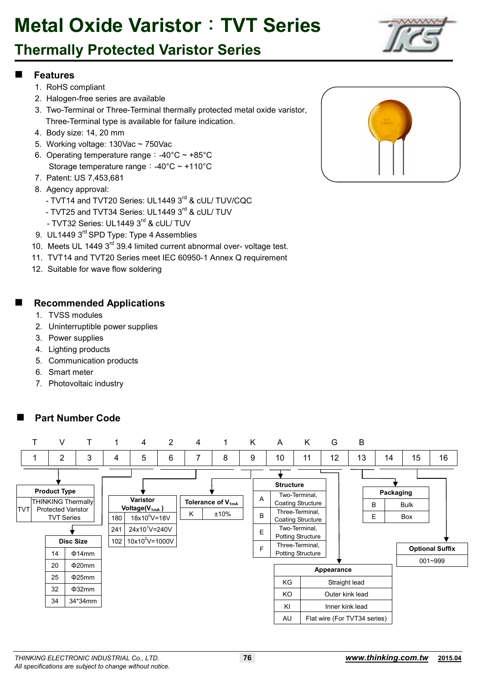### **Thermally Protected Varistor Series**

#### **Features**

- 1. RoHS compliant
- 2. Halogen-free series are available
- 3. Two-Terminal or Three-Terminal thermally protected metal oxide varistor, Three-Terminal type is available for failure indication.
- 4. Body size: 14, 20 mm
- 5. Working voltage: 130Vac ~ 750Vac
- 6. Operating temperature range:  $-40^{\circ}$ C ~  $+85^{\circ}$ C Storage temperature range:-40°C ~ +110°C
- 7. Patent: US 7,453,681
- 8. Agency approval:
	- TVT14 and TVT20 Series: UL1449 3rd & cUL/ TUV/CQC
	- TVT25 and TVT34 Series: UL1449 3rd & cUL/ TUV
	- TVT32 Series: UL1449 3<sup>rd</sup> & cUL/ TUV
- 9. UL1449 3<sup>rd</sup> SPD Type: Type 4 Assemblies
- 10. Meets UL 1449 3<sup>rd</sup> 39.4 limited current abnormal over- voltage test.
- 11. TVT14 and TVT20 Series meet IEC 60950-1 Annex Q requirement
- 12. Suitable for wave flow soldering

#### **Recommended Applications**

- 1. TVSS modules
- 2. Uninterruptible power supplies
- 3. Power supplies
- 4. Lighting products
- 5. Communication products
- 6. Smart meter
- 7. Photovoltaic industry







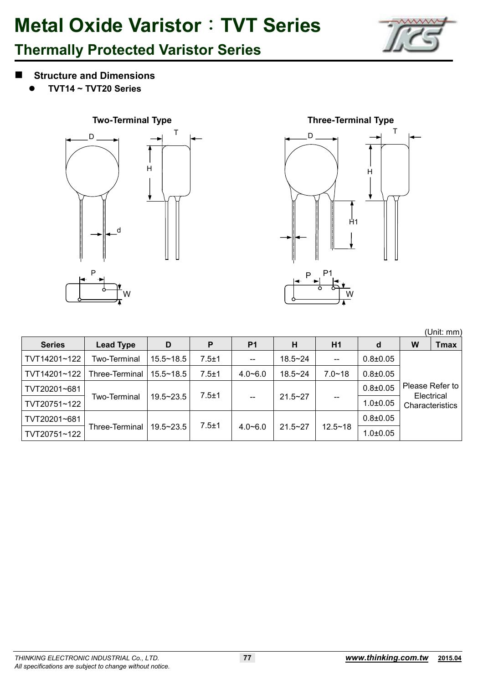

## **Thermally Protected Varistor Series**

- **Structure and Dimensions** 
	- -**TVT14 ~ TVT20 Series**





|               |                  |               |           |                |             |             |                |   | (Unit: mm)                    |
|---------------|------------------|---------------|-----------|----------------|-------------|-------------|----------------|---|-------------------------------|
| <b>Series</b> | <b>Lead Type</b> | D             | P         | P <sub>1</sub> | Н           | H1          | d              | W | <b>Tmax</b>                   |
| TVT14201~122  | Two-Terminal     | $15.5 - 18.5$ | $7.5 + 1$ | --             | $18.5 - 24$ | $- -$       | $0.8 + 0.05$   |   |                               |
| TVT14201~122  | Three-Terminal   | $15.5 - 18.5$ | $7.5 + 1$ | $4.0 - 6.0$    | $18.5 - 24$ | $7.0 - 18$  | $0.8 \pm 0.05$ |   |                               |
| TVT20201~681  |                  |               |           |                |             |             | $0.8 + 0.05$   |   | Please Refer to               |
| TVT20751~122  | Two-Terminal     | $19.5 - 23.5$ | $7.5 + 1$ |                | $21.5 - 27$ |             | $1.0 \pm 0.05$ |   | Electrical<br>Characteristics |
| TVT20201~681  |                  |               |           |                |             |             | $0.8 \pm 0.05$ |   |                               |
| TVT20751~122  | Three-Terminal   | $19.5 - 23.5$ | $7.5 + 1$ | $4.0 - 6.0$    | $21.5 - 27$ | $12.5 - 18$ | $1.0 \pm 0.05$ |   |                               |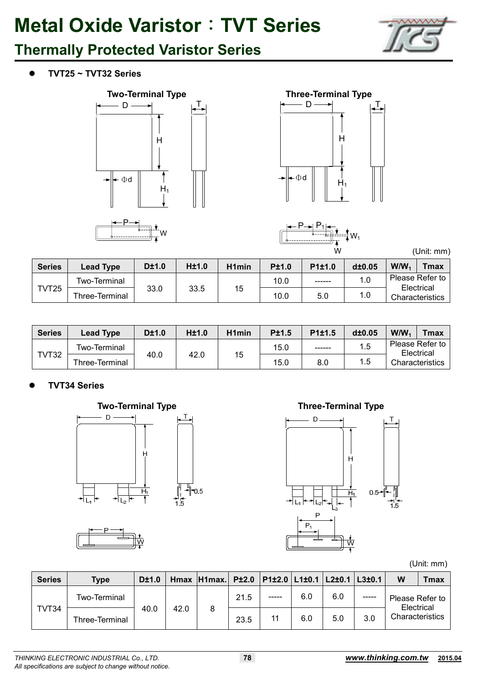

### **Thermally Protected Varistor Series**

 $\bullet$ **TVT25 ~ TVT32 Series** 



W





(Unit: mm)

| <b>Series</b> | <b>Lead Type</b> | D±1.0 | <b>H±1.0</b> | H <sub>1</sub> min | <b>P±1.0</b> | P <sub>1</sub> ±1.0 | d±0.05 | W/N <sub>1</sub> | $T$ max $\overline{a}$        |
|---------------|------------------|-------|--------------|--------------------|--------------|---------------------|--------|------------------|-------------------------------|
| TVT25         | Two-Terminal     |       |              | 15                 | 10.0         | ------              | 1.0    |                  | Please Refer to<br>Electrical |
|               | Three-Terminal   | 33.0  | 33.5         |                    | 10.0         | 5.0                 | 1.0    |                  | <b>Characteristics</b>        |

| <b>Series</b> | <b>Lead Type</b> | D±1.0 | H±1.0 | H <sub>1</sub> min | <b>P±1.5</b> | P <sub>1</sub> ±1.5 | d±0.05 | $W/W_1$ | $\tau$ max $\tau$             |
|---------------|------------------|-------|-------|--------------------|--------------|---------------------|--------|---------|-------------------------------|
|               | Two-Terminal     |       |       |                    | 15.0         | ------              | 1.5    |         | Please Refer to<br>Electrical |
| TVT32         | Three-Terminal   | 40.0  | 42.0  | 15                 | 15.0         | 8.0                 | 1.5    |         | Characteristics               |

#### $\bullet$ **TVT34 Series**







(Unit: mm)

| <b>Series</b> | <b>Type</b>    | D±1.0 |      | Hmax H1max. |      | P±2.0   P1±2.0   L1±0.1   L2±0.1 |     |     | L3±0.1      | W               | Tmax       |
|---------------|----------------|-------|------|-------------|------|----------------------------------|-----|-----|-------------|-----------------|------------|
|               | Two-Terminal   |       |      |             | 21.5 | -----                            | 6.0 | 6.0 | $- - - - -$ | Please Refer to | Electrical |
| TVT34         | Three-Terminal | 40.0  | 42.0 | Ö           | 23.5 | 11                               | 6.0 | 5.0 | 3.0         | Characteristics |            |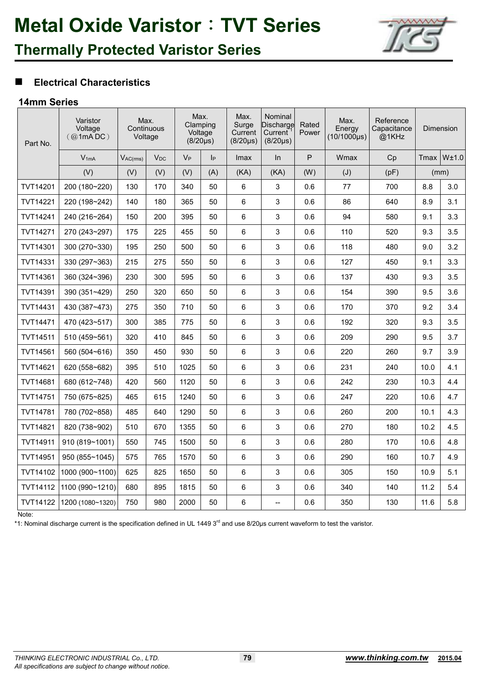

## **Thermally Protected Varistor Series**

#### **Electrical Characteristics**

#### **14mm Series**

| Part No.        | Varistor<br>Voltage<br>(Q <sub>0</sub> 1 <sub>m</sub> A DC) | Max.<br>Continuous<br>Voltage |          | Voltage | Max.<br>Clamping<br>$(8/20\mu s)$ | Max.<br>Surge<br>Current<br>$(8/20 \mu s)$ | Nominal<br>Discharge<br>Current<br>$(8/20 \mu s)$ | Rated<br>Power | Max.<br>Energy<br>$(10/1000\mu s)$ | Reference<br>Capacitance<br>@1KHz |      | Dimension |
|-----------------|-------------------------------------------------------------|-------------------------------|----------|---------|-----------------------------------|--------------------------------------------|---------------------------------------------------|----------------|------------------------------------|-----------------------------------|------|-----------|
|                 | $V_{1mA}$                                                   | $V_{AC(rms)}$                 | $V_{DC}$ | $V_{P}$ | IР                                | <b>Imax</b>                                | In                                                | P              | Wmax                               | Cp                                | Tmax | W±1.0     |
|                 | (V)                                                         | (V)                           | (V)      | (V)     | (A)                               | (KA)                                       | (KA)                                              | (W)            | (J)                                | (pF)                              |      | (mm)      |
| <b>TVT14201</b> | 200 (180~220)                                               | 130                           | 170      | 340     | 50                                | 6                                          | 3                                                 | 0.6            | 77                                 | 700                               | 8.8  | 3.0       |
| TVT14221        | 220 (198~242)                                               | 140                           | 180      | 365     | 50                                | 6                                          | 3                                                 | 0.6            | 86                                 | 640                               | 8.9  | 3.1       |
| TVT14241        | 240 (216~264)                                               | 150                           | 200      | 395     | 50                                | 6                                          | 3                                                 | 0.6            | 94                                 | 580                               | 9.1  | 3.3       |
| TVT14271        | 270 (243~297)                                               | 175                           | 225      | 455     | 50                                | 6                                          | 3                                                 | 0.6            | 110                                | 520                               | 9.3  | 3.5       |
| TVT14301        | 300 (270~330)                                               | 195                           | 250      | 500     | 50                                | 6                                          | 3                                                 | 0.6            | 118                                | 480                               | 9.0  | 3.2       |
| TVT14331        | 330 (297~363)                                               | 215                           | 275      | 550     | 50                                | 6                                          | 3                                                 | 0.6            | 127                                | 450                               | 9.1  | 3.3       |
| TVT14361        | 360 (324~396)                                               | 230                           | 300      | 595     | 50                                | 6                                          | 3                                                 | 0.6            | 137                                | 430                               | 9.3  | 3.5       |
| TVT14391        | 390 (351~429)                                               | 250                           | 320      | 650     | 50                                | 6                                          | 3                                                 | 0.6            | 154                                | 390                               | 9.5  | 3.6       |
| TVT14431        | 430 (387~473)                                               | 275                           | 350      | 710     | 50                                | 6                                          | 3                                                 | 0.6            | 170                                | 370                               | 9.2  | 3.4       |
| TVT14471        | 470 (423~517)                                               | 300                           | 385      | 775     | 50                                | 6                                          | 3                                                 | 0.6            | 192                                | 320                               | 9.3  | 3.5       |
| <b>TVT14511</b> | 510 (459~561)                                               | 320                           | 410      | 845     | 50                                | 6                                          | 3                                                 | 0.6            | 209                                | 290                               | 9.5  | 3.7       |
| TVT14561        | 560 (504~616)                                               | 350                           | 450      | 930     | 50                                | 6                                          | 3                                                 | 0.6            | 220                                | 260                               | 9.7  | 3.9       |
| <b>TVT14621</b> | 620 (558~682)                                               | 395                           | 510      | 1025    | 50                                | 6                                          | 3                                                 | 0.6            | 231                                | 240                               | 10.0 | 4.1       |
| TVT14681        | 680 (612~748)                                               | 420                           | 560      | 1120    | 50                                | 6                                          | 3                                                 | 0.6            | 242                                | 230                               | 10.3 | 4.4       |
| TVT14751        | 750 (675~825)                                               | 465                           | 615      | 1240    | 50                                | 6                                          | 3                                                 | 0.6            | 247                                | 220                               | 10.6 | 4.7       |
| <b>TVT14781</b> | 780 (702~858)                                               | 485                           | 640      | 1290    | 50                                | 6                                          | 3                                                 | 0.6            | 260                                | 200                               | 10.1 | 4.3       |
| <b>TVT14821</b> | 820 (738~902)                                               | 510                           | 670      | 1355    | 50                                | 6                                          | 3                                                 | 0.6            | 270                                | 180                               | 10.2 | 4.5       |
| TVT14911        | 910 (819~1001)                                              | 550                           | 745      | 1500    | 50                                | 6                                          | 3                                                 | 0.6            | 280                                | 170                               | 10.6 | 4.8       |
| TVT14951        | 950 (855~1045)                                              | 575                           | 765      | 1570    | 50                                | 6                                          | 3                                                 | 0.6            | 290                                | 160                               | 10.7 | 4.9       |
| TVT14102        | 1000 (900~1100)                                             | 625                           | 825      | 1650    | 50                                | 6                                          | 3                                                 | 0.6            | 305                                | 150                               | 10.9 | 5.1       |
| <b>TVT14112</b> | 1100 (990~1210)                                             | 680                           | 895      | 1815    | 50                                | 6                                          | 3                                                 | 0.6            | 340                                | 140                               | 11.2 | 5.4       |
| TVT14122        | 1200 (1080~1320)                                            | 750                           | 980      | 2000    | 50                                | 6                                          | $\overline{\phantom{a}}$                          | 0.6            | 350                                | 130                               | 11.6 | 5.8       |

Note:

\*1: Nominal discharge current is the specification defined in UL 1449 3<sup>rd</sup> and use 8/20µs current waveform to test the varistor.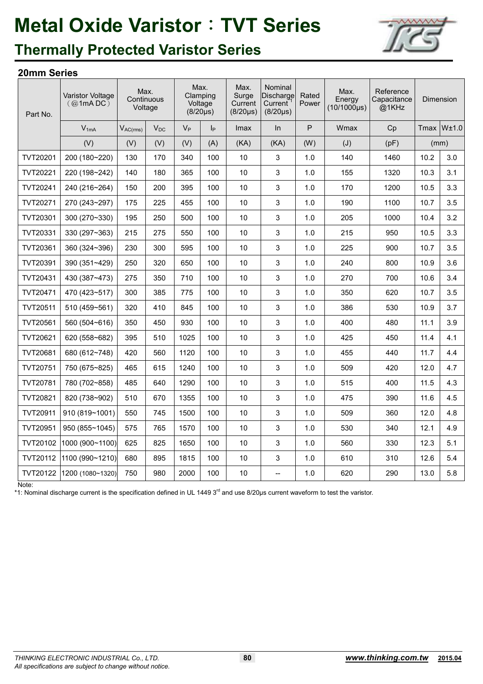

### **Thermally Protected Varistor Series**

#### **20mm Series**

| Part No.        | Varistor Voltage<br>(Q1mADC) | Max.<br>Voltage | Continuous |         | Max.<br>Clamping<br>Voltage<br>$(8/20 \mu s)$ | Max.<br>Surge<br>Current<br>$(8/20\mu s)$ | Nominal<br>Discharge<br>Current<br>$(8/20 \mu s)$ | Rated<br>Power | Max.<br>Energy<br>$(10/1000\mu s)$ | Reference<br>Capacitance<br>@1KHz |      | Dimension       |
|-----------------|------------------------------|-----------------|------------|---------|-----------------------------------------------|-------------------------------------------|---------------------------------------------------|----------------|------------------------------------|-----------------------------------|------|-----------------|
|                 | $V_{1mA}$                    | $V_{AC(rms)}$   | $V_{DC}$   | $V_{P}$ | $ _{\mathsf{P}}$                              | Imax                                      | ln                                                | P              | Wmax                               | Cp                                |      | $Tmax$ W $±1.0$ |
|                 | (V)                          | (V)             | (V)        | (V)     | (A)                                           | (KA)                                      | (KA)                                              | (W)            | (J)                                | (pF)                              | (mm) |                 |
| TVT20201        | 200 (180~220)                | 130             | 170        | 340     | 100                                           | 10                                        | 3                                                 | 1.0            | 140                                | 1460                              | 10.2 | 3.0             |
| TVT20221        | 220 (198~242)                | 140             | 180        | 365     | 100                                           | 10                                        | 3                                                 | 1.0            | 155                                | 1320                              | 10.3 | 3.1             |
| TVT20241        | 240 (216~264)                | 150             | 200        | 395     | 100                                           | 10                                        | 3                                                 | 1.0            | 170                                | 1200                              | 10.5 | 3.3             |
| TVT20271        | 270 (243~297)                | 175             | 225        | 455     | 100                                           | 10                                        | 3                                                 | 1.0            | 190                                | 1100                              | 10.7 | 3.5             |
| TVT20301        | 300 (270~330)                | 195             | 250        | 500     | 100                                           | 10                                        | 3                                                 | 1.0            | 205                                | 1000                              | 10.4 | 3.2             |
| TVT20331        | 330 (297~363)                | 215             | 275        | 550     | 100                                           | 10                                        | 3                                                 | 1.0            | 215                                | 950                               | 10.5 | 3.3             |
| TVT20361        | $360(324 - 396)$             | 230             | 300        | 595     | 100                                           | 10                                        | 3                                                 | 1.0            | 225                                | 900                               | 10.7 | 3.5             |
| TVT20391        | 390 (351~429)                | 250             | 320        | 650     | 100                                           | 10                                        | 3                                                 | 1.0            | 240                                | 800                               | 10.9 | 3.6             |
| TVT20431        | 430 (387~473)                | 275             | 350        | 710     | 100                                           | 10                                        | 3                                                 | 1.0            | 270                                | 700                               | 10.6 | 3.4             |
| TVT20471        | 470 (423~517)                | 300             | 385        | 775     | 100                                           | 10                                        | 3                                                 | 1.0            | 350                                | 620                               | 10.7 | 3.5             |
| TVT20511        | 510 (459~561)                | 320             | 410        | 845     | 100                                           | 10                                        | 3                                                 | 1.0            | 386                                | 530                               | 10.9 | 3.7             |
| TVT20561        | 560 (504~616)                | 350             | 450        | 930     | 100                                           | 10                                        | 3                                                 | 1.0            | 400                                | 480                               | 11.1 | 3.9             |
| <b>TVT20621</b> | 620 (558~682)                | 395             | 510        | 1025    | 100                                           | 10                                        | 3                                                 | 1.0            | 425                                | 450                               | 11.4 | 4.1             |
| TVT20681        | 680 (612~748)                | 420             | 560        | 1120    | 100                                           | 10                                        | 3                                                 | 1.0            | 455                                | 440                               | 11.7 | 4.4             |
| TVT20751        | 750 (675~825)                | 465             | 615        | 1240    | 100                                           | 10                                        | 3                                                 | 1.0            | 509                                | 420                               | 12.0 | 4.7             |
| TVT20781        | 780 (702~858)                | 485             | 640        | 1290    | 100                                           | 10                                        | 3                                                 | 1.0            | 515                                | 400                               | 11.5 | 4.3             |
| TVT20821        | 820 (738~902)                | 510             | 670        | 1355    | 100                                           | 10                                        | 3                                                 | 1.0            | 475                                | 390                               | 11.6 | 4.5             |
| TVT20911        | 910 (819~1001)               | 550             | 745        | 1500    | 100                                           | 10                                        | 3                                                 | 1.0            | 509                                | 360                               | 12.0 | 4.8             |
| TVT20951        | 950 (855~1045)               | 575             | 765        | 1570    | 100                                           | 10                                        | 3                                                 | 1.0            | 530                                | 340                               | 12.1 | 4.9             |
| TVT20102        | 1000(900~1100)               | 625             | 825        | 1650    | 100                                           | 10                                        | 3                                                 | 1.0            | 560                                | 330                               | 12.3 | 5.1             |
| TVT20112        | 1100 (990~1210)              | 680             | 895        | 1815    | 100                                           | 10                                        | 3                                                 | 1.0            | 610                                | 310                               | 12.6 | 5.4             |
| TVT20122        | 1200 (1080~1320)             | 750             | 980        | 2000    | 100                                           | 10                                        | $\overline{a}$                                    | 1.0            | 620                                | 290                               | 13.0 | 5.8             |

Note:

\*1: Nominal discharge current is the specification defined in UL 1449 3<sup>rd</sup> and use 8/20µs current waveform to test the varistor.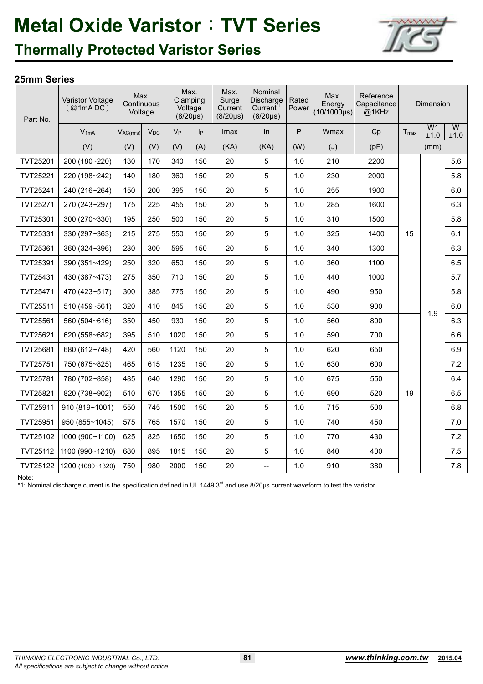

### **Thermally Protected Varistor Series**

#### **25mm Series**

| Part No.        | Varistor Voltage<br>$(Q \text{1mA DC})$ | Max.<br>Voltage | Continuous |       | Max.<br>Clamping<br>Voltage<br>$(8/20 \mu s)$ | Max.<br>Surge<br>Current<br>$(8/20 \mu s)$ | Nominal<br>Discharge<br>Current<br>$(8/20 \mu s)$ | Rated<br>Power | Max.<br>Energy<br>$(10/1000 \mu s)$ | Reference<br>Capacitance<br>@1KHz |           | Dimension              |           |
|-----------------|-----------------------------------------|-----------------|------------|-------|-----------------------------------------------|--------------------------------------------|---------------------------------------------------|----------------|-------------------------------------|-----------------------------------|-----------|------------------------|-----------|
|                 | $V_{1mA}$                               | $V_{AC(rms)}$   | $V_{DC}$   | $V_P$ | Iр                                            | Imax                                       | In                                                | P              | Wmax                                | Cp                                | $T_{max}$ | W <sub>1</sub><br>±1.0 | W<br>±1.0 |
|                 | (V)                                     | (V)             | (V)        | (V)   | (A)                                           | (KA)                                       | (KA)                                              | (W)            | (J)                                 | (pF)                              |           | (mm)                   |           |
| TVT25201        | 200 (180~220)                           | 130             | 170        | 340   | 150                                           | 20                                         | 5                                                 | 1.0            | 210                                 | 2200                              |           |                        | 5.6       |
| TVT25221        | 220 (198~242)                           | 140             | 180        | 360   | 150                                           | 20                                         | 5                                                 | 1.0            | 230                                 | 2000                              |           |                        | 5.8       |
| TVT25241        | 240 (216~264)                           | 150             | 200        | 395   | 150                                           | 20                                         | $\overline{5}$                                    | 1.0            | 255                                 | 1900                              |           |                        | 6.0       |
| TVT25271        | 270 (243~297)                           | 175             | 225        | 455   | 150                                           | 20                                         | $\sqrt{5}$                                        | 1.0            | 285                                 | 1600                              |           |                        | 6.3       |
| TVT25301        | 300 (270~330)                           | 195             | 250        | 500   | 150                                           | 20                                         | $\overline{5}$                                    | 1.0            | 310                                 | 1500                              |           |                        | 5.8       |
| TVT25331        | 330 (297~363)                           | 215             | 275        | 550   | 150                                           | 20                                         | $\overline{5}$                                    | 1.0            | 325                                 | 1400                              | 15        |                        | 6.1       |
| TVT25361        | 360 (324~396)                           | 230             | 300        | 595   | 150                                           | 20                                         | 5                                                 | 1.0            | 340                                 | 1300                              |           |                        | 6.3       |
| TVT25391        | 390 (351~429)                           | 250             | 320        | 650   | 150                                           | 20                                         | $\overline{5}$                                    | 1.0            | 360                                 | 1100                              |           |                        | 6.5       |
| TVT25431        | 430 (387~473)                           | 275             | 350        | 710   | 150                                           | 20                                         | 5                                                 | 1.0            | 440                                 | 1000                              |           |                        | 5.7       |
| TVT25471        | 470 (423~517)                           | 300             | 385        | 775   | 150                                           | 20                                         | $\overline{5}$                                    | 1.0            | 490                                 | 950                               |           |                        | 5.8       |
| <b>TVT25511</b> | 510 (459~561)                           | 320             | 410        | 845   | 150                                           | 20                                         | $\sqrt{5}$                                        | 1.0            | 530                                 | 900                               |           | 1.9                    | 6.0       |
| TVT25561        | 560 (504~616)                           | 350             | 450        | 930   | 150                                           | 20                                         | $\sqrt{5}$                                        | 1.0            | 560                                 | 800                               |           |                        | 6.3       |
| TVT25621        | 620 (558~682)                           | 395             | 510        | 1020  | 150                                           | 20                                         | 5                                                 | 1.0            | 590                                 | 700                               |           |                        | 6.6       |
| TVT25681        | 680 (612~748)                           | 420             | 560        | 1120  | 150                                           | 20                                         | $\overline{5}$                                    | 1.0            | 620                                 | 650                               |           |                        | 6.9       |
| TVT25751        | 750 (675~825)                           | 465             | 615        | 1235  | 150                                           | 20                                         | 5                                                 | 1.0            | 630                                 | 600                               |           |                        | 7.2       |
| TVT25781        | 780 (702~858)                           | 485             | 640        | 1290  | 150                                           | 20                                         | 5                                                 | 1.0            | 675                                 | 550                               |           |                        | 6.4       |
| TVT25821        | 820 (738~902)                           | 510             | 670        | 1355  | 150                                           | 20                                         | $\sqrt{5}$                                        | 1.0            | 690                                 | 520                               | 19        |                        | 6.5       |
| TVT25911        | 910 (819~1001)                          | 550             | 745        | 1500  | 150                                           | 20                                         | 5                                                 | 1.0            | 715                                 | 500                               |           |                        | 6.8       |
| TVT25951        | 950 (855~1045)                          | 575             | 765        | 1570  | 150                                           | 20                                         | $\overline{5}$                                    | 1.0            | 740                                 | 450                               |           |                        | 7.0       |
| TVT25102        | 1000 (900~1100)                         | 625             | 825        | 1650  | 150                                           | 20                                         | 5                                                 | 1.0            | 770                                 | 430                               |           |                        | 7.2       |
| TVT25112        | 1100 (990~1210)                         | 680             | 895        | 1815  | 150                                           | 20                                         | 5                                                 | 1.0            | 840                                 | 400                               |           |                        | 7.5       |
| TVT25122        | 1200 (1080~1320)                        | 750             | 980        | 2000  | 150                                           | 20                                         | $-$                                               | 1.0            | 910                                 | 380                               |           |                        | 7.8       |

Note:

\*1: Nominal discharge current is the specification defined in UL 1449 3<sup>rd</sup> and use 8/20us current waveform to test the varistor.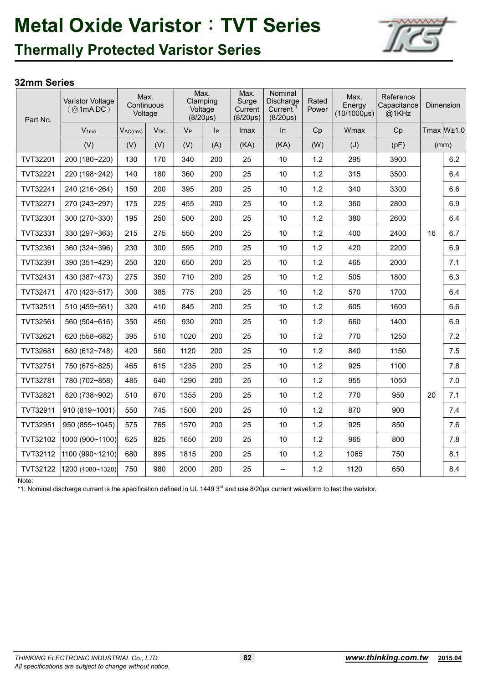

### **Thermally Protected Varistor Series**

#### **32mm Series**

| Part No. | Varistor Voltage<br>(Q <sub>1</sub> mADC) | Max.<br>Continuous<br>Voltage |          |       | Max.<br>Clamping<br>Voltage<br>$(8/20\mu s)$ | Max.<br>Surge<br>Current<br>$(8/20\mu s)$ | Nominal<br>Discharge<br>Current<br>$(8/20\mu s)$ | Rated<br>Power | Max.<br>Energy<br>$(10/1000 \mu s)$ | Reference<br>Capacitance<br>@1KHz |    | Dimension  |
|----------|-------------------------------------------|-------------------------------|----------|-------|----------------------------------------------|-------------------------------------------|--------------------------------------------------|----------------|-------------------------------------|-----------------------------------|----|------------|
|          | $V_{1mA}$                                 | $V_{AC(rms)}$                 | $V_{DC}$ | $V_P$ | $I_P$                                        | Imax                                      | In                                               | Cp             | Wmax                                | Cp                                |    | Tmax W±1.0 |
|          | (V)                                       | (V)                           | (V)      | (V)   | (A)                                          | (KA)                                      | (KA)                                             | (W)            | (J)                                 | (pF)                              |    | (mm)       |
| TVT32201 | 200 (180~220)                             | 130                           | 170      | 340   | 200                                          | 25                                        | 10                                               | 1.2            | 295                                 | 3900                              |    | 6.2        |
| TVT32221 | 220 (198~242)                             | 140                           | 180      | 360   | 200                                          | 25                                        | 10                                               | 1.2            | 315                                 | 3500                              |    | 6.4        |
| TVT32241 | 240 (216~264)                             | 150                           | 200      | 395   | 200                                          | 25                                        | 10                                               | 1.2            | 340                                 | 3300                              |    | 6.6        |
| TVT32271 | 270 (243~297)                             | 175                           | 225      | 455   | 200                                          | 25                                        | 10                                               | 1.2            | 360                                 | 2800                              |    | 6.9        |
| TVT32301 | 300 (270~330)                             | 195                           | 250      | 500   | 200                                          | 25                                        | 10                                               | 1.2            | 380                                 | 2600                              |    | 6.4        |
| TVT32331 | 330 (297~363)                             | 215                           | 275      | 550   | 200                                          | 25                                        | 10                                               | 1.2            | 400                                 | 2400                              | 16 | 6.7        |
| TVT32361 | 360 (324~396)                             | 230                           | 300      | 595   | 200                                          | 25                                        | 10                                               | 1.2            | 420                                 | 2200                              |    | 6.9        |
| TVT32391 | 390 (351~429)                             | 250                           | 320      | 650   | 200                                          | 25                                        | 10                                               | 1.2            | 465                                 | 2000                              |    | 7.1        |
| TVT32431 | 430 (387~473)                             | 275                           | 350      | 710   | 200                                          | 25                                        | 10                                               | 1.2            | 505                                 | 1800                              |    | 6.3        |
| TVT32471 | 470 (423~517)                             | 300                           | 385      | 775   | 200                                          | 25                                        | 10                                               | 1.2            | 570                                 | 1700                              |    | 6.4        |
| TVT32511 | 510 (459~561)                             | 320                           | 410      | 845   | 200                                          | 25                                        | 10                                               | 1.2            | 605                                 | 1600                              |    | 6.6        |
| TVT32561 | 560 (504~616)                             | 350                           | 450      | 930   | 200                                          | 25                                        | 10                                               | 1.2            | 660                                 | 1400                              |    | 6.9        |
| TVT32621 | 620 (558~682)                             | 395                           | 510      | 1020  | 200                                          | 25                                        | 10                                               | 1.2            | 770                                 | 1250                              |    | 7.2        |
| TVT32681 | 680 (612~748)                             | 420                           | 560      | 1120  | 200                                          | 25                                        | 10                                               | 1.2            | 840                                 | 1150                              |    | 7.5        |
| TVT32751 | 750 (675~825)                             | 465                           | 615      | 1235  | 200                                          | 25                                        | 10                                               | 1.2            | 925                                 | 1100                              |    | 7.8        |
| TVT32781 | 780 (702~858)                             | 485                           | 640      | 1290  | 200                                          | 25                                        | 10                                               | 1.2            | 955                                 | 1050                              |    | 7.0        |
| TVT32821 | 820 (738~902)                             | 510                           | 670      | 1355  | 200                                          | 25                                        | 10                                               | 1.2            | 770                                 | 950                               | 20 | 7.1        |
| TVT32911 | 910 (819~1001)                            | 550                           | 745      | 1500  | 200                                          | 25                                        | 10                                               | 1.2            | 870                                 | 900                               |    | 7.4        |
| TVT32951 | 950 (855~1045)                            | 575                           | 765      | 1570  | 200                                          | 25                                        | 10                                               | 1.2            | 925                                 | 850                               |    | 7.6        |
| TVT32102 | 1000 (900~1100)                           | 625                           | 825      | 1650  | 200                                          | 25                                        | 10                                               | 1.2            | 965                                 | 800                               |    | 7.8        |
| TVT32112 | 1100 (990~1210)                           | 680                           | 895      | 1815  | 200                                          | 25                                        | 10                                               | 1.2            | 1065                                | 750                               |    | 8.1        |
| TVT32122 | 1200 (1080~1320)                          | 750                           | 980      | 2000  | 200                                          | 25                                        | $\overline{a}$                                   | 1.2            | 1120                                | 650                               |    | 8.4        |

Note:

\*1: Nominal discharge current is the specification defined in UL 1449 3<sup>rd</sup> and use 8/20µs current waveform to test the varistor.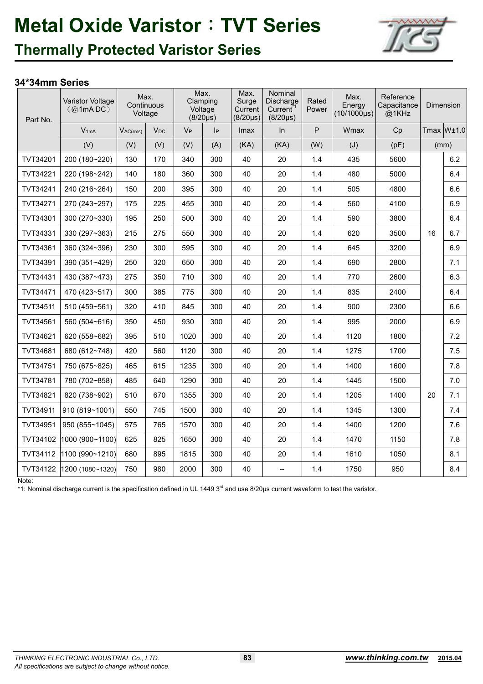

### **Thermally Protected Varistor Series**

#### **34\*34mm Series**

| Part No. | Varistor Voltage<br>(Q1mADC) | Max.<br>Voltage | Continuous |       | Max.<br>Clamping<br>Voltage<br>$(8/20\mu s)$ | Max.<br>Surge<br>Current<br>$(8/20\mu s)$ | Nominal<br>Discharge<br>Current <sup>®</sup><br>$(8/20 \mu s)$ | Rated<br>Power | Max.<br>Energy<br>$(10/1000\mu s)$ | Reference<br>Capacitance<br>@1KHz |    | Dimension       |
|----------|------------------------------|-----------------|------------|-------|----------------------------------------------|-------------------------------------------|----------------------------------------------------------------|----------------|------------------------------------|-----------------------------------|----|-----------------|
|          | $V_{1mA}$                    | $V_{AC(rms)}$   | $V_{DC}$   | $V_P$ | p                                            | <b>Imax</b>                               | In                                                             | P              | Wmax                               | Cp                                |    | $Tmax$ W $±1.0$ |
|          | (V)                          | (V)             | (V)        | (V)   | (A)                                          | (KA)                                      | (KA)                                                           | (W)            | (J)                                | (pF)                              |    | (mm)            |
| TVT34201 | 200 (180~220)                | 130             | 170        | 340   | 300                                          | 40                                        | 20                                                             | 1.4            | 435                                | 5600                              |    | 6.2             |
| TVT34221 | 220 (198~242)                | 140             | 180        | 360   | 300                                          | 40                                        | 20                                                             | 1.4            | 480                                | 5000                              |    | 6.4             |
| TVT34241 | 240 (216~264)                | 150             | 200        | 395   | 300                                          | 40                                        | 20                                                             | 1.4            | 505                                | 4800                              |    | 6.6             |
| TVT34271 | 270 (243~297)                | 175             | 225        | 455   | 300                                          | 40                                        | 20                                                             | 1.4            | 560                                | 4100                              |    | 6.9             |
| TVT34301 | 300 (270~330)                | 195             | 250        | 500   | 300                                          | 40                                        | 20                                                             | 1.4            | 590                                | 3800                              |    | 6.4             |
| TVT34331 | 330 (297~363)                | 215             | 275        | 550   | 300                                          | 40                                        | 20                                                             | 1.4            | 620                                | 3500                              | 16 | 6.7             |
| TVT34361 | 360 (324~396)                | 230             | 300        | 595   | 300                                          | 40                                        | 20                                                             | 1.4            | 645                                | 3200                              |    | 6.9             |
| TVT34391 | 390 (351~429)                | 250             | 320        | 650   | 300                                          | 40                                        | 20                                                             | 1.4            | 690                                | 2800                              |    | 7.1             |
| TVT34431 | 430 (387~473)                | 275             | 350        | 710   | 300                                          | 40                                        | 20                                                             | 1.4            | 770                                | 2600                              |    | 6.3             |
| TVT34471 | 470 (423~517)                | 300             | 385        | 775   | 300                                          | 40                                        | 20                                                             | 1.4            | 835                                | 2400                              |    | 6.4             |
| TVT34511 | 510 (459~561)                | 320             | 410        | 845   | 300                                          | 40                                        | 20                                                             | 1.4            | 900                                | 2300                              |    | 6.6             |
| TVT34561 | 560 (504~616)                | 350             | 450        | 930   | 300                                          | 40                                        | 20                                                             | 1.4            | 995                                | 2000                              |    | 6.9             |
| TVT34621 | 620 (558~682)                | 395             | 510        | 1020  | 300                                          | 40                                        | 20                                                             | 1.4            | 1120                               | 1800                              |    | 7.2             |
| TVT34681 | 680 (612~748)                | 420             | 560        | 1120  | 300                                          | 40                                        | 20                                                             | 1.4            | 1275                               | 1700                              |    | $7.5\,$         |
| TVT34751 | 750 (675~825)                | 465             | 615        | 1235  | 300                                          | 40                                        | 20                                                             | 1.4            | 1400                               | 1600                              |    | $7.8$           |
| TVT34781 | 780 (702~858)                | 485             | 640        | 1290  | 300                                          | 40                                        | 20                                                             | 1.4            | 1445                               | 1500                              |    | 7.0             |
| TVT34821 | 820 (738~902)                | 510             | 670        | 1355  | 300                                          | 40                                        | 20                                                             | 1.4            | 1205                               | 1400                              | 20 | 7.1             |
| TVT34911 | 910 (819~1001)               | 550             | 745        | 1500  | 300                                          | 40                                        | 20                                                             | 1.4            | 1345                               | 1300                              |    | 7.4             |
| TVT34951 | 950 (855~1045)               | 575             | 765        | 1570  | 300                                          | 40                                        | 20                                                             | 1.4            | 1400                               | 1200                              |    | 7.6             |
| TVT34102 | 1000 (900~1100)              | 625             | 825        | 1650  | 300                                          | 40                                        | 20                                                             | 1.4            | 1470                               | 1150                              |    | 7.8             |
| TVT34112 | 1100 (990~1210)              | 680             | 895        | 1815  | 300                                          | 40                                        | 20                                                             | 1.4            | 1610                               | 1050                              |    | 8.1             |
| TVT34122 | 1200 (1080~1320)             | 750             | 980        | 2000  | 300                                          | 40                                        | $\overline{\phantom{a}}$                                       | 1.4            | 1750                               | 950                               |    | 8.4             |

Note:

\*1: Nominal discharge current is the specification defined in UL 1449 3<sup>rd</sup> and use 8/20µs current waveform to test the varistor.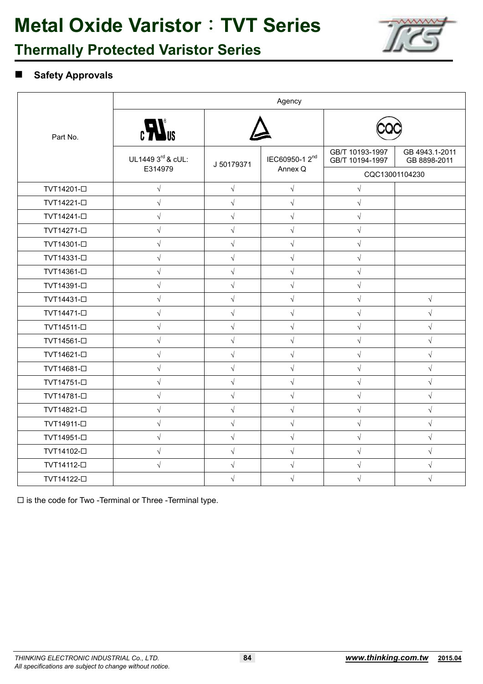

### **Thermally Protected Varistor Series**

#### **Safety Approvals**

|                         |                                                      |            | Agency                     |                                    |                                |
|-------------------------|------------------------------------------------------|------------|----------------------------|------------------------------------|--------------------------------|
| Part No.                | $\epsilon$ <b>H</b> <sup><math>\epsilon</math></sup> |            |                            |                                    |                                |
|                         | UL1449 3rd & cUL:                                    | J 50179371 | IEC60950-1 2 <sup>nd</sup> | GB/T 10193-1997<br>GB/T 10194-1997 | GB 4943.1-2011<br>GB 8898-2011 |
|                         | E314979                                              |            | Annex Q                    | CQC13001104230                     |                                |
| TVT14201-□              | $\sqrt{}$                                            | $\sqrt{ }$ | $\sqrt{ }$                 | $\sqrt{}$                          |                                |
| TVT14221- <sup>D</sup>  | $\sqrt{}$                                            | $\sqrt{}$  | $\sqrt{ }$                 | $\sqrt{}$                          |                                |
| TVT14241-□              | $\sqrt{}$                                            | $\sqrt{}$  | $\sqrt{ }$                 | $\sqrt{}$                          |                                |
| TVT14271- <sup>D</sup>  | $\sqrt{}$                                            | $\sqrt{}$  | $\sqrt{}$                  | $\sqrt{}$                          |                                |
| TVT14301-□              | $\sqrt{}$                                            | $\sqrt{}$  | $\sqrt{}$                  | $\sqrt{}$                          |                                |
| TVT14331-□              | $\sqrt{}$                                            | $\sqrt{ }$ | $\sqrt{}$                  | $\sqrt{}$                          |                                |
| TVT14361-□              | $\sqrt{}$                                            | $\sqrt{ }$ | $\sqrt{ }$                 | $\sqrt{}$                          |                                |
| TVT14391- <sup>D</sup>  | $\sqrt{}$                                            | $\sqrt{}$  | $\sqrt{}$                  | $\sqrt{}$                          |                                |
| TVT14431-□              | $\sqrt{}$                                            | $\sqrt{2}$ | $\sqrt{ }$                 | $\sqrt{}$                          | $\sqrt{ }$                     |
| TVT14471-□              | $\sqrt{}$                                            | $\sqrt{}$  | $\sqrt{}$                  | $\sqrt{}$                          | $\sqrt{ }$                     |
| TVT14511- <sup>D</sup>  | $\sqrt{}$                                            | $\sqrt{}$  | $\sqrt{}$                  | $\sqrt{}$                          | $\sqrt{}$                      |
| TVT14561-□              | $\sqrt{}$                                            | $\sqrt{2}$ | $\sqrt{}$                  | $\sqrt{}$                          | $\sqrt{ }$                     |
| TVT14621-□              | $\sqrt{}$                                            | $\sqrt{2}$ | $\sqrt{}$                  | $\sqrt{}$                          | $\sqrt{}$                      |
| TVT14681-□              | $\sqrt{}$                                            | $\sqrt{ }$ | $\sqrt{}$                  | $\sqrt{ }$                         | $\sqrt{ }$                     |
| TVT14751-□              | $\sqrt{ }$                                           | $\sqrt{ }$ | $\sqrt{ }$                 | $\sqrt{}$                          | $\sqrt{}$                      |
| TVT14781-□              | $\sqrt{}$                                            | $\sqrt{}$  | $\sqrt{}$                  | $\sqrt{}$                          | $\sqrt{}$                      |
| TVT14821- <sup>[]</sup> | $\sqrt{}$                                            | $\sqrt{}$  | $\sqrt{}$                  | $\sqrt{}$                          | $\sqrt{}$                      |
| TVT14911-□              | $\sqrt{}$                                            | $\sqrt{}$  | $\sqrt{ }$                 | $\sqrt{}$                          | $\sqrt{ }$                     |
| TVT14951-□              | $\sqrt{}$                                            | $\sqrt{}$  | $\sqrt{}$                  | $\sqrt{}$                          | $\sqrt{ }$                     |
| TVT14102-□              | $\sqrt{}$                                            | $\sqrt{ }$ | $\sqrt{ }$                 | $\sqrt{}$                          | $\sqrt{}$                      |
| TVT14112- <sup>[]</sup> | $\sqrt{}$                                            | $\sqrt{}$  | $\sqrt{}$                  | $\sqrt{}$                          | $\sqrt{ }$                     |
| TVT14122- <sup>[]</sup> |                                                      | $\sqrt{}$  | $\sqrt{}$                  | $\sqrt{}$                          | $\sqrt{}$                      |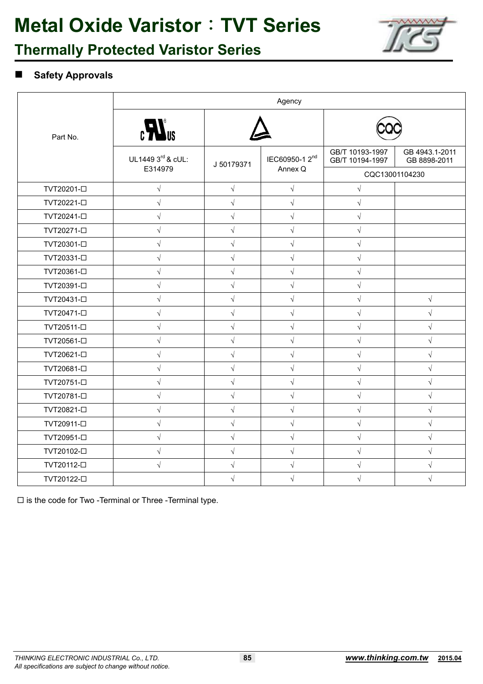

### **Thermally Protected Varistor Series**

#### **Safety Approvals**

|                         |                                                      |            | Agency                     |                                    |                                |
|-------------------------|------------------------------------------------------|------------|----------------------------|------------------------------------|--------------------------------|
| Part No.                | $\epsilon$ <b>H</b> <sup><math>\epsilon</math></sup> |            |                            |                                    |                                |
|                         | UL1449 3rd & cUL:                                    | J 50179371 | IEC60950-1 2 <sup>nd</sup> | GB/T 10193-1997<br>GB/T 10194-1997 | GB 4943.1-2011<br>GB 8898-2011 |
|                         | E314979                                              |            | Annex Q                    | CQC13001104230                     |                                |
| TVT20201- <sup>D</sup>  | $\sqrt{}$                                            | $\sqrt{ }$ | $\sqrt{}$                  | $\sqrt{}$                          |                                |
| TVT20221- <sup>D</sup>  | $\sqrt{}$                                            | $\sqrt{ }$ | $\sqrt{}$                  | $\sqrt{}$                          |                                |
| TVT20241- <sup>[]</sup> | $\sqrt{}$                                            | $\sqrt{}$  | $\sqrt{}$                  | $\sqrt{}$                          |                                |
| TVT20271- <sup>[]</sup> | $\sqrt{2}$                                           | $\sqrt{}$  | $\sqrt{ }$                 | $\sqrt{}$                          |                                |
| TVT20301- <sup>D</sup>  | $\sqrt{}$                                            | $\sqrt{ }$ | $\sqrt{ }$                 | $\sqrt{}$                          |                                |
| TVT20331-□              | $\sqrt{}$                                            | $\sqrt{}$  | $\sqrt{}$                  | $\sqrt{}$                          |                                |
| TVT20361- <sup>[]</sup> | $\sqrt{}$                                            | $\sqrt{2}$ | $\sqrt{ }$                 | $\sqrt{}$                          |                                |
| TVT20391- <sup>[]</sup> | $\sqrt{}$                                            | $\sqrt{}$  | $\sqrt{}$                  | $\sqrt{}$                          |                                |
| TVT20431-□              | $\sqrt{}$                                            | $\sqrt{}$  | $\sqrt{ }$                 | $\sqrt{}$                          | $\sqrt{ }$                     |
| TVT20471-□              | $\sqrt{}$                                            | $\sqrt{}$  | $\sqrt{}$                  | $\sqrt{}$                          | $\sqrt{}$                      |
| TVT20511-□              | $\sqrt{}$                                            | $\sqrt{ }$ | $\sqrt{ }$                 | $\sqrt{}$                          | $\sqrt{ }$                     |
| TVT20561- <sup>[]</sup> | $\sqrt{}$                                            | $\sqrt{}$  | $\sqrt{ }$                 | $\sqrt{}$                          | $\sqrt{}$                      |
| TVT20621- <sup>[]</sup> | $\sqrt{}$                                            | $\sqrt{}$  | $\sqrt{}$                  | $\sqrt{}$                          | $\sqrt{}$                      |
| TVT20681- <sup>[]</sup> | $\sqrt{}$                                            | $\sqrt{}$  | $\sqrt{}$                  | $\sqrt{}$                          | $\sqrt{ }$                     |
| TVT20751- <sup>[]</sup> | $\sqrt{}$                                            | $\sqrt{}$  | $\sqrt{}$                  | $\sqrt{}$                          | $\sqrt{}$                      |
| TVT20781- <sup>D</sup>  | $\sqrt{}$                                            | $\sqrt{}$  | $\sqrt{}$                  | $\sqrt{}$                          | $\sqrt{}$                      |
| TVT20821- <sup>[]</sup> | $\sqrt{}$                                            | $\sqrt{}$  | $\sqrt{}$                  | $\sqrt{}$                          | $\sqrt{}$                      |
| TVT20911- <sup>[]</sup> | $\sqrt{}$                                            | $\sqrt{}$  | $\sqrt{ }$                 | $\sqrt{}$                          | $\sqrt{}$                      |
| TVT20951-□              | $\sqrt{}$                                            | $\sqrt{}$  | $\sqrt{}$                  | $\sqrt{}$                          | $\sqrt{}$                      |
| TVT20102- <sup>[]</sup> | $\sqrt{}$                                            | $\sqrt{ }$ | $\sqrt{ }$                 | $\sqrt{}$                          | $\sqrt{}$                      |
| TVT20112- <sup>[]</sup> | $\sqrt{}$                                            | $\sqrt{}$  | $\sqrt{}$                  | $\sqrt{}$                          | $\sqrt{}$                      |
| TVT20122- <sup>[]</sup> |                                                      | $\sqrt{}$  | $\sqrt{}$                  | $\sqrt{}$                          |                                |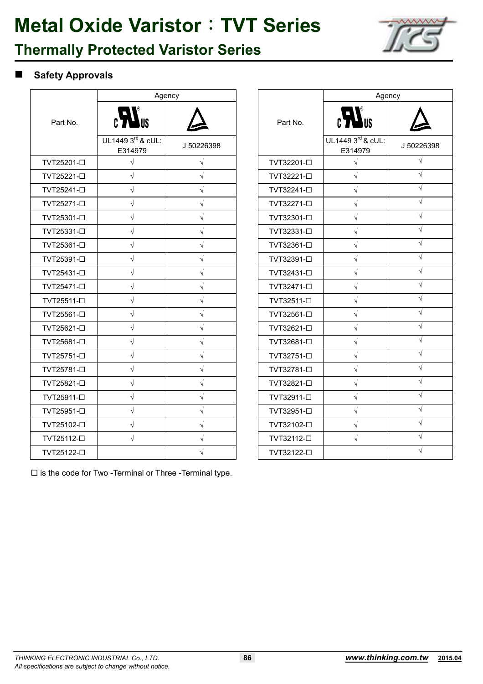

### **Thermally Protected Varistor Series**

#### **Safety Approvals**

|                         | Agency                            |            |                         | Agency                       |            |
|-------------------------|-----------------------------------|------------|-------------------------|------------------------------|------------|
| Part No.                | $\epsilon$ <b>N</b> <sub>US</sub> |            | Part No.                | $c$ $\sum$ <sub>US</sub>     |            |
|                         | UL1449 3rd & cUL:<br>E314979      | J 50226398 |                         | UL1449 3rd & cUL:<br>E314979 | J 5022     |
| TVT25201- <sup>D</sup>  | $\sqrt{}$                         | $\sqrt{}$  | TVT32201- <sup>D</sup>  | $\sqrt{}$                    | N          |
| TVT25221- <sup>D</sup>  | $\sqrt{}$                         | $\sqrt{2}$ | TVT32221- <sup>D</sup>  | $\sqrt{ }$                   | $\sqrt{ }$ |
| TVT25241- <sup>D</sup>  | $\sqrt{ }$                        | $\sqrt{ }$ | TVT32241- <sup>D</sup>  | $\sqrt{}$                    | $\sqrt{2}$ |
| TVT25271- <sup>D</sup>  | $\sqrt{}$                         | $\sqrt{}$  | TVT32271- <sup>D</sup>  | $\sqrt{ }$                   | $\sqrt{}$  |
| TVT25301- <sup>[]</sup> | $\sqrt{}$                         | $\sqrt{}$  | TVT32301-□              | $\sqrt{}$                    | $\sqrt{}$  |
| TVT25331-□              | $\sqrt{}$                         | $\sqrt{}$  | TVT32331- <sup>D</sup>  | $\sqrt{}$                    | $\sqrt{ }$ |
| TVT25361- <sup>[]</sup> | $\sqrt{ }$                        | $\sqrt{ }$ | TVT32361- <sup>[]</sup> | $\sqrt{}$                    | $\sqrt{ }$ |
| TVT25391- <sup>[]</sup> | $\sqrt{\phantom{a}}$              | $\sqrt{ }$ | TVT32391- <sup>[]</sup> | $\sqrt{}$                    | $\sqrt{2}$ |
| TVT25431- <sup>D</sup>  | $\sqrt{}$                         | $\sqrt{}$  | TVT32431- <sup>D</sup>  | $\sqrt{}$                    | V          |
| TVT25471- <sup>D</sup>  | $\sqrt{}$                         | $\sqrt{}$  | TVT32471- <sup>D</sup>  | $\sqrt{}$                    | $\sqrt{}$  |
| TVT25511- <sup>[]</sup> | $\sqrt{}$                         | $\sqrt{}$  | TVT32511-□              | $\sqrt{}$                    | $\sqrt{ }$ |
| TVT25561- <sup>[]</sup> | $\sqrt{ }$                        | $\sqrt{ }$ | TVT32561-□              | $\sqrt{}$                    | $\sqrt{2}$ |
| TVT25621-□              | $\sqrt{\phantom{a}}$              | $\sqrt{ }$ | TVT32621- <sup>D</sup>  | $\sqrt{}$                    | $\sqrt{ }$ |
| TVT25681-□              | $\sqrt{}$                         | $\sqrt{}$  | TVT32681-□              | $\sqrt{}$                    | V          |
| TVT25751-D              | $\sqrt{}$                         | $\sqrt{}$  | TVT32751- <sup>D</sup>  | $\sqrt{ }$                   | $\sqrt{ }$ |
| TVT25781- <sup>D</sup>  | $\sqrt{ }$                        | $\sqrt{}$  | TVT32781- <sup>D</sup>  | $\sqrt{ }$                   | $\sqrt{ }$ |
| TVT25821-□              | $\sqrt{}$                         | $\sqrt{}$  | TVT32821- <sup>D</sup>  | $\sqrt{}$                    | $\sqrt{}$  |
| TVT25911- <sup>[]</sup> | $\sqrt{}$                         | $\sqrt{}$  | TVT32911- <sup>D</sup>  | $\sqrt{}$                    | $\sqrt{}$  |
| TVT25951- <sup>D</sup>  | $\sqrt{}$                         | $\sqrt{}$  | TVT32951-□              | $\sqrt{}$                    | V          |
| TVT25102- <sup>[]</sup> | $\sqrt{}$                         | $\sqrt{ }$ | TVT32102- <sup>[]</sup> | $\sqrt{ }$                   | $\sqrt{ }$ |
| TVT25112- <sup>[]</sup> | $\sqrt{ }$                        | $\sqrt{ }$ | TVT32112- <sup>[]</sup> | $\sqrt{ }$                   | $\sqrt{ }$ |
| TVT25122-□              |                                   | $\sqrt{}$  | TVT32122- <sup>[]</sup> |                              | $\sqrt{}$  |

|                         | Agency                       |            |  |
|-------------------------|------------------------------|------------|--|
| Part No.                | $\boldsymbol{H}$ us          |            |  |
|                         | UL1449 3rd & cUL:<br>E314979 | J 50226398 |  |
| TVT32201- <sup>D</sup>  | $\sqrt{}$                    | J          |  |
| TVT32221- <sup>D</sup>  | $\sqrt{}$                    | $\sqrt{}$  |  |
| TVT32241-□              | $\sqrt{}$                    | V          |  |
| TVT32271- <sup>D</sup>  | $\sqrt{}$                    | J          |  |
| TVT32301- <sup>[]</sup> | $\sqrt{}$                    | V          |  |
| TVT32331- <sup>D</sup>  | $\sqrt{2}$                   | J          |  |
| TVT32361-□              | $\sqrt{}$                    | V          |  |
| TVT32391- <sup>[]</sup> | $\sqrt{}$                    | J          |  |
| TVT32431- <sup>[]</sup> | $\sqrt{}$                    | $\sqrt{}$  |  |
| TVT32471- <sup>[]</sup> | $\sqrt{}$                    |            |  |
| TVT32511-□              | $\sqrt{}$                    |            |  |
| TVT32561- <sup>[</sup>  | $\sqrt{}$                    |            |  |
| TVT32621- <sup>[]</sup> | $\sqrt{}$                    | $\sqrt{}$  |  |
| TVT32681- <sup>[]</sup> | $\sqrt{}$                    | J          |  |
| TVT32751-□              | $\sqrt{}$                    | V          |  |
| TVT32781- <sup>D</sup>  | $\sqrt{}$                    | J          |  |
| TVT32821- <sup>[]</sup> | $\sqrt{}$                    | J          |  |
| TVT32911- <sup>[]</sup> | $\sqrt{}$                    | V          |  |
| TVT32951-□              | $\sqrt{}$                    |            |  |
| TVT32102-□              | $\sqrt{}$                    | V          |  |
| TVT32112-□              | $\sqrt{}$                    | $\sqrt{}$  |  |
| TVT32122-□              |                              |            |  |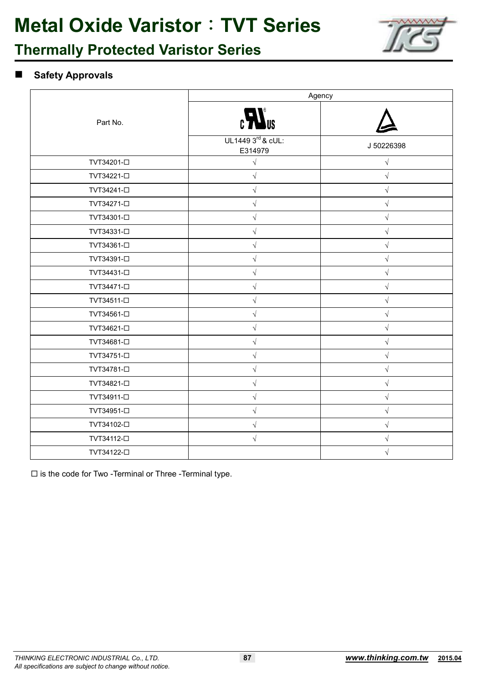

### **Thermally Protected Varistor Series**

#### **Safety Approvals**

|                         | Agency                       |            |  |
|-------------------------|------------------------------|------------|--|
| Part No.                | $\mathbf{H}^{\mathsf{ns}}$   |            |  |
|                         | UL1449 3rd & cUL:<br>E314979 | J 50226398 |  |
| TVT34201- <sup>D</sup>  | $\sqrt{}$                    | $\sqrt{ }$ |  |
| TVT34221- <sup>D</sup>  | $\sqrt{}$                    | $\sqrt{}$  |  |
| TVT34241- <sup>[]</sup> | $\sqrt{}$                    | $\sqrt{}$  |  |
| TVT34271- <sup>D</sup>  | $\sqrt{ }$                   | $\sqrt{}$  |  |
| TVT34301-□              | $\sqrt{}$                    | $\sqrt{}$  |  |
| TVT34331-□              | $\sqrt{ }$                   | $\sqrt{}$  |  |
| TVT34361-□              | V                            | V          |  |
| TVT34391- <sup>D</sup>  | $\sqrt{}$                    |            |  |
| TVT34431-□              | $\sqrt{ }$                   | $\sqrt{ }$ |  |
| TVT34471- <sup>D</sup>  | $\sqrt{}$                    | $\sqrt{}$  |  |
| TVT34511- <sup>[]</sup> | $\sqrt{}$                    | $\sqrt{}$  |  |
| TVT34561- <sup>[]</sup> | $\sqrt{ }$                   | $\sqrt{}$  |  |
| TVT34621-□              | $\sqrt{}$                    | $\sqrt{}$  |  |
| TVT34681-□              | $\sqrt{}$                    | $\sqrt{}$  |  |
| TVT34751-□              | $\sqrt{}$                    | $\sqrt{}$  |  |
| TVT34781-□              | $\sqrt{}$                    | $\sqrt{}$  |  |
| TVT34821- <sup>D</sup>  | $\sqrt{}$                    | V          |  |
| TVT34911-□              | $\sqrt{}$                    | $\sqrt{}$  |  |
| TVT34951-□              | $\sqrt{}$                    | $\sqrt{}$  |  |
| TVT34102-□              | $\sqrt{}$                    | $\sqrt{}$  |  |
| TVT34112- <sup>D</sup>  | $\sqrt{}$                    | $\sqrt{}$  |  |
| TVT34122- <sup>[]</sup> |                              | $\sqrt{}$  |  |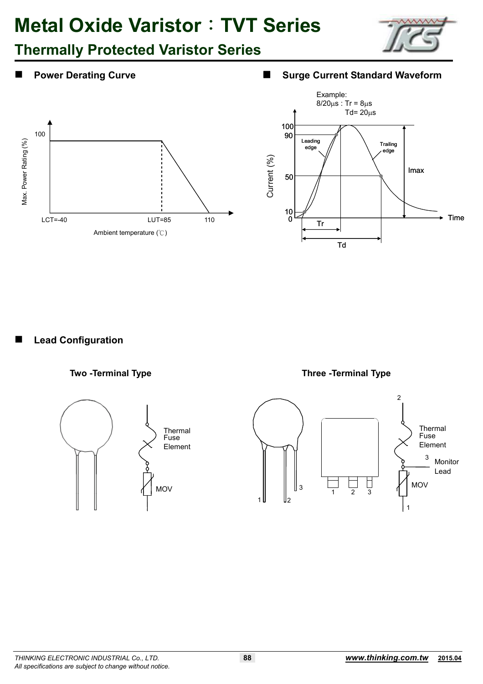## **Thermally Protected Varistor Series**









**Lead Configuration** 









 $\overline{2}$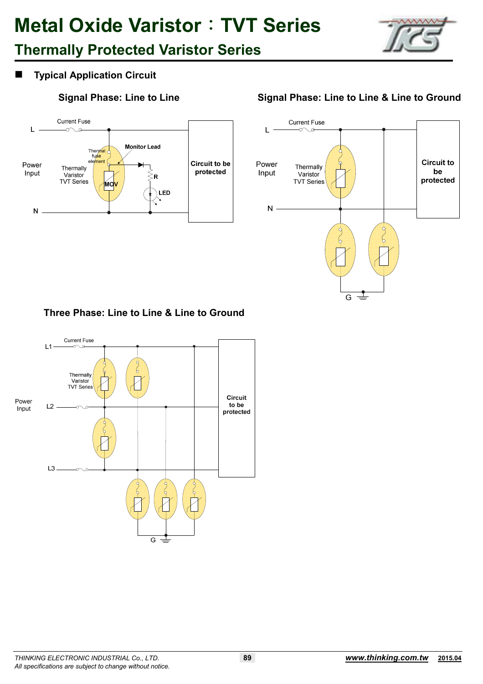## **Thermally Protected Varistor Series**



### **Typical Application Circuit**



### Signal Phase: Line to Line **Signal Phase: Line to Line & Line to Ground**



#### **Three Phase: Line to Line & Line to Ground**

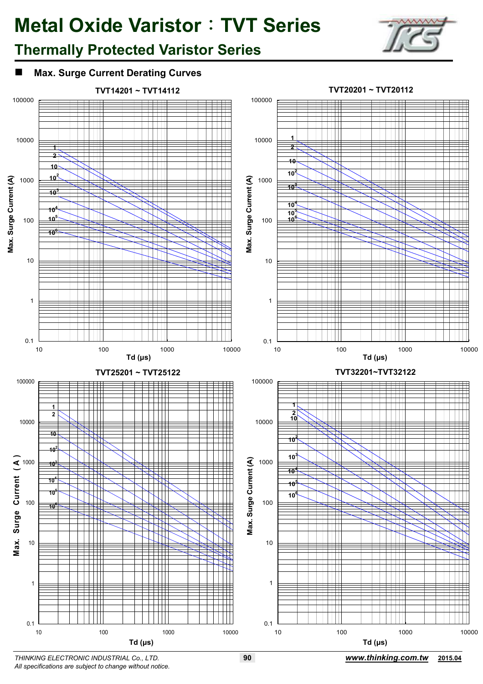## **Thermally Protected Varistor Series**







*THINKING ELECTRONIC INDUSTRIAL Co., LTD.* **90** *www.thinking.com.tw* **2015.04** *All specifications are subject to change without notice.*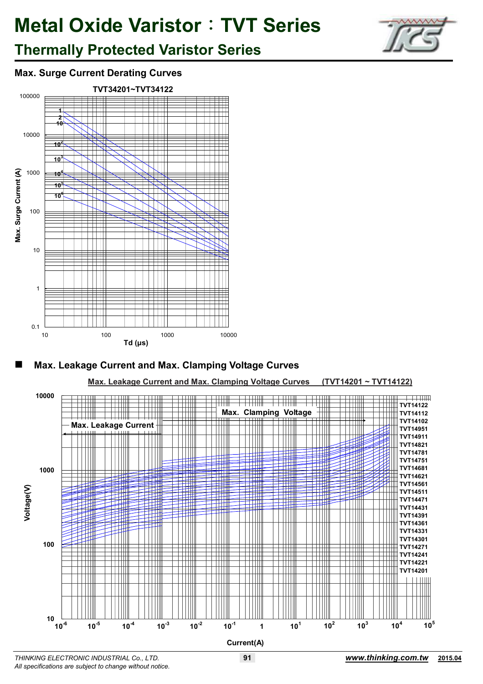

## **Thermally Protected Varistor Series**

### **Max. Surge Current Derating Curves**







*THINKING ELECTRONIC INDUSTRIAL Co., LTD.* **91** *www.thinking.com.tw* **2015.04** *All specifications are subject to change without notice.*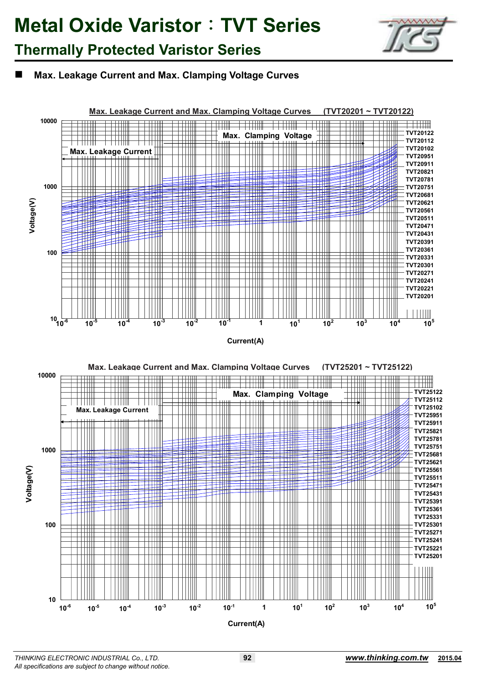

### **Thermally Protected Varistor Series**

#### **Max. Leakage Current and Max. Clamping Voltage Curves**

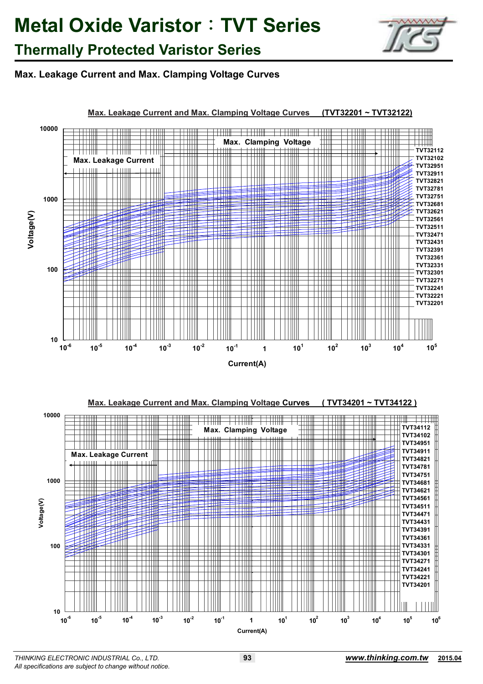

### **Thermally Protected Varistor Series**

### **Max. Leakage Current and Max. Clamping Voltage Curves**

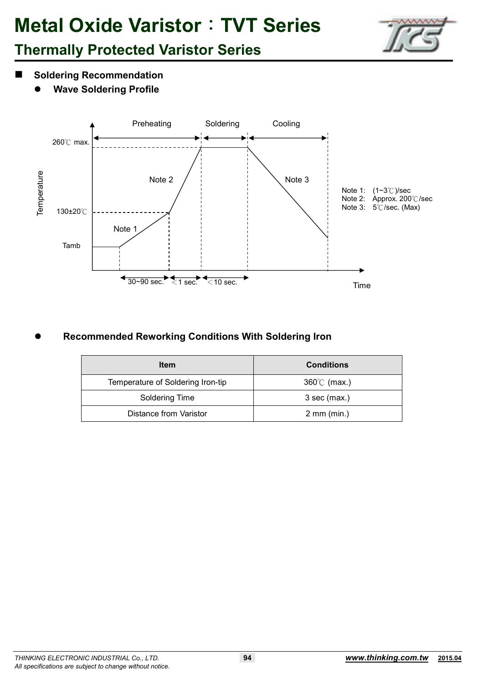

## **Thermally Protected Varistor Series**

- **Soldering Recommendation** 
	- $\bullet$ **Wave Soldering Profile**



#### $\bullet$  **Recommended Reworking Conditions With Soldering Iron**

| <b>Item</b>                       | <b>Conditions</b>     |
|-----------------------------------|-----------------------|
| Temperature of Soldering Iron-tip | $360^{\circ}$ (max.)  |
| Soldering Time                    | $3$ sec (max.)        |
| Distance from Varistor            | $2 \text{ mm (min.)}$ |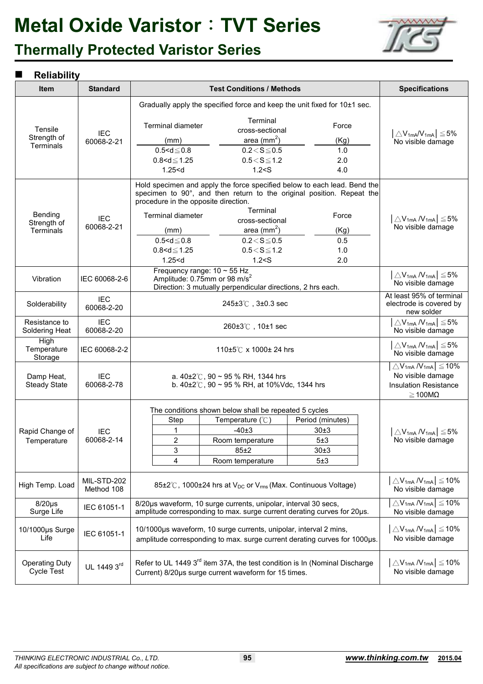## **Thermally Protected Varistor Series**



#### **Reliability**

| <b>Item</b>                         | <b>Standard</b>           | <b>Test Conditions / Methods</b>                                                                                                                                                                                                                                              |                                                                                                                  |                                                                                                                                     | <b>Specifications</b>                                                                                 |
|-------------------------------------|---------------------------|-------------------------------------------------------------------------------------------------------------------------------------------------------------------------------------------------------------------------------------------------------------------------------|------------------------------------------------------------------------------------------------------------------|-------------------------------------------------------------------------------------------------------------------------------------|-------------------------------------------------------------------------------------------------------|
|                                     |                           | Gradually apply the specified force and keep the unit fixed for 10±1 sec.                                                                                                                                                                                                     |                                                                                                                  |                                                                                                                                     |                                                                                                       |
| Tensile<br>Strength of<br>Terminals | <b>IEC</b><br>60068-2-21  | <b>Terminal diameter</b><br>(mm)<br>$0.5 < d \le 0.8$<br>$0.8 < d \le 1.25$<br>1.25 < d                                                                                                                                                                                       | Terminal<br>cross-sectional<br>area (mm <sup>2</sup> )<br>$0.2 < S \le 0.5$<br>$0.5\!<\!S\!\leq\!1.2$<br>1.2 < S | Force<br>(Kg)<br>1.0<br>2.0<br>4.0                                                                                                  | $\big \triangle\mathsf{V}_{\mathsf{1mA}}\mathsf{W}_{\mathsf{1mA}}\big \leq\!5\%$<br>No visible damage |
| Bending<br>Strength of<br>Terminals | <b>IEC</b><br>60068-2-21  | Hold specimen and apply the force specified below to each lead. Bend the<br>specimen to 90°, and then return to the original position. Repeat the<br>procedure in the opposite direction.<br>Terminal diameter<br>(mm)<br>$0.5 < d \le 0.8$<br>$0.8 < d \le 1.25$<br>1.25 < d | Terminal<br>cross-sectional<br>area $(mm^2)$<br>$0.2 < S \le 0.5$<br>$0.5 < S \le 1.2$<br>1.2 < S                | Force<br>(Kg)<br>0.5<br>1.0<br>2.0                                                                                                  | $\triangle V_{1mA} N_{1mA}$ $\leq$ 5%<br>No visible damage                                            |
| Vibration                           | IEC 60068-2-6             | Frequency range: $10 \sim 55$ Hz<br>Amplitude: 0.75mm or 98 m/s <sup>2</sup><br>Direction: 3 mutually perpendicular directions, 2 hrs each.                                                                                                                                   |                                                                                                                  | $\Delta V_{1mA} N_{1mA}$ $\leq$ 5%<br>No visible damage                                                                             |                                                                                                       |
| Solderability                       | <b>IEC</b><br>60068-2-20  | $245 \pm 3^{\circ}$ , $3 \pm 0.3$ sec                                                                                                                                                                                                                                         |                                                                                                                  | At least 95% of terminal<br>electrode is covered by<br>new solder                                                                   |                                                                                                       |
| Resistance to<br>Soldering Heat     | <b>IEC</b><br>60068-2-20  | 260±3℃, 10±1 sec                                                                                                                                                                                                                                                              |                                                                                                                  | $\triangle V_{1mA} N_{1mA}$ $\leq$ 5%<br>No visible damage                                                                          |                                                                                                       |
| High<br>Temperature<br>Storage      | IEC 60068-2-2             | 110±5℃ x 1000± 24 hrs                                                                                                                                                                                                                                                         |                                                                                                                  | $\triangle$ V <sub>1mA</sub> /V <sub>1mA</sub> $\leq$ 5%<br>No visible damage                                                       |                                                                                                       |
| Damp Heat,<br><b>Steady State</b>   | <b>IEC</b><br>60068-2-78  | a. $40\pm2\degree$ C, 90 ~ 95 % RH, 1344 hrs<br>b. $40\pm2^{\circ}$ C, 90 ~ 95 % RH, at 10%Vdc, 1344 hrs                                                                                                                                                                      |                                                                                                                  | $\triangle$ V <sub>1mA</sub> /V <sub>1mA</sub> $\leq$ 10%<br>No visible damage<br><b>Insulation Resistance</b><br>$\geq 100M\Omega$ |                                                                                                       |
| Rapid Change of<br>Temperature      | <b>IEC</b><br>60068-2-14  | The conditions shown below shall be repeated 5 cycles<br>Step<br>1<br>$\overline{2}$<br>3<br>4                                                                                                                                                                                | Temperature $(^\circ \mathbb{C})$<br>$-40±3$<br>Room temperature<br>85±2<br>Room temperature                     | Period (minutes)<br>30 <sub>±3</sub><br>5±3<br>30±3<br>5±3                                                                          | $\triangle$ V <sub>1mA</sub> /V <sub>1mA</sub> $\leq$ 5%<br>No visible damage                         |
| High Temp. Load                     | MIL-STD-202<br>Method 108 | 85±2℃, 1000±24 hrs at V <sub>DC</sub> or V <sub>rms</sub> (Max. Continuous Voltage)                                                                                                                                                                                           |                                                                                                                  | $\Delta V_{1mA} N_{1mA}$ $\leq$ 10%<br>No visible damage                                                                            |                                                                                                       |
| $8/20\mu s$<br>Surge Life           | IEC 61051-1               | 8/20us waveform, 10 surge currents, unipolar, interval 30 secs,<br>amplitude corresponding to max. surge current derating curves for 20µs.                                                                                                                                    |                                                                                                                  | $\triangle$ V <sub>1mA</sub> /V <sub>1mA</sub> $\leq$ 10%<br>No visible damage                                                      |                                                                                                       |
| 10/1000µs Surge<br>Life             | IEC 61051-1               | 10/1000µs waveform, 10 surge currents, unipolar, interval 2 mins,<br>amplitude corresponding to max. surge current derating curves for 1000us.                                                                                                                                |                                                                                                                  | $\left \triangle V_{1mA} / V_{1mA}\right  \le 10\%$<br>No visible damage                                                            |                                                                                                       |
| <b>Operating Duty</b><br>Cycle Test | UL 1449 3rd               | Refer to UL 1449 3 <sup>rd</sup> item 37A, the test condition is In (Nominal Discharge<br>$\Delta V_{1mA} N_{1mA}$ $\leq$ 10%<br>No visible damage<br>Current) 8/20us surge current waveform for 15 times.                                                                    |                                                                                                                  |                                                                                                                                     |                                                                                                       |